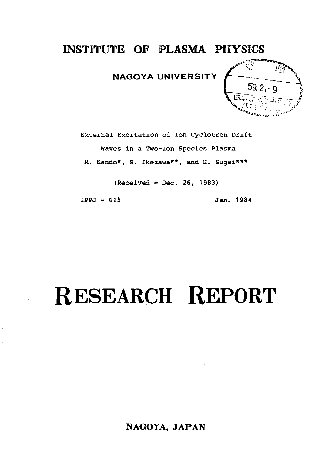## **INSTITUTE OF PLASMA PHYSICS**

## **NAGOYA UNIVERSITY**



External Excitation of Ion Cyclotron Drift Waves in a Two-Ion Species Plasma M. Kando\*, S. Ikezawa\*\*, and H. Sugai\*\*\*

(Received - Dec. 26, 1983)

IPPJ - 665 Jan. 1984

## **RESEARCH REPORT**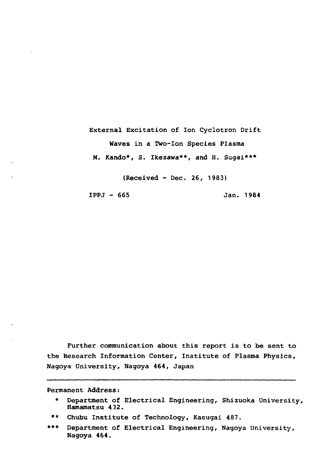External Excitation of Ion Cyclotron Drift Waves in a Two-Ion Species Plasma M. Kando\*, S. Ikezawa\*\*, and H. Sugai\*\*\*

(Received - Dec. 26, 1983)

IPPJ - 665 Jan. 1984

Further communication about this report is to be sent to the Research Information Center, Institute of Plasma Physics, Nagoya University, Nagoya 464, Japan

Permanent Address:

\*\* Chubu Institute of Technology, Kasugai 487.

<sup>\*</sup> Department of Electrical Engineering, Shizuoka University, Hamamatsu 432.

<sup>\*\*\*</sup> Department of Electrical Engineering, Nagoya University, Nagoya 464.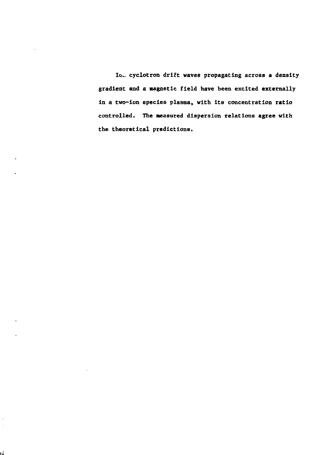Io.\_ cyclotron drift waves propagating across a density gradient and a magnetic field have been excited externally In a two-Ion species plasma, with Its concentration ratio controlled. The measured dispersion relations **agree** with the theoretical predictions.

l,  $\hat{\mathcal{I}}$ 

١ź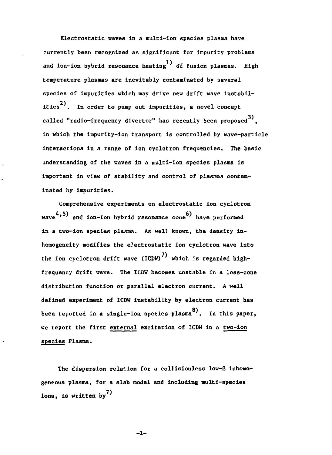**Electrostatic waves in a multi-ion species plasma have currently been recognized as significant for impurity problems** and ion-ion hybrid resonance heating<sup>1)</sup> of fusion plasmas. High **temperature plasmas are inevitably contaminated by several species of impurities which may drive new drift wave instabil-2) ities . In order to pump out impurities, a novel concept** called "radio-frequency divertor" has recently been proposed<sup>3)</sup>. **in which the impurity-ion transport is controlled by wave-particle interactions in a range of ion cyclotron frequencies. The basic understanding of the waves in a multi-ion species plasma is important in view of stability and control of plasmas contaminated by impurities.**

**Comprehensive experiments on electrostatic ion cyclotron** wave<sup>4</sup>,<sup>5)</sup> and ion-ion hybrid resonance cone<sup>6</sup> have performed **in a two-ion species plasma. As well known, the density inhomogeneity modifies the electrostatic ion cyclotron wave into** the ion cyclotron drift wave (ICDW)<sup>7</sup> which is regarded high**frequency drift wave. The ICDW becomes unstable in a loss-cone distribution function or parallel electron current. A well defined experiment of ICDW instability by electron current has** been reported in a single-ion species plasma<sup>8</sup>. In this paper, **we report the first external excitation of ICDW in a two-ion species Plasma.**

**The dispersion relation for a collisionless low-B inhomogeneous plasma, for a slab model and including multi-species ions, is written by**

**-1-**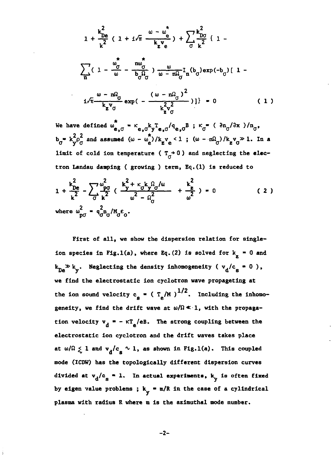$$
1 + \frac{k_{De}^{2}}{k^{2}} (1 + i\sqrt{\pi} \frac{\omega - \omega_{e}^{*}}{k_{z}v_{e}}) + \sum_{\sigma} \frac{k_{D\sigma}^{2}}{k^{2}} (1 - \frac{\omega_{\sigma}^{*}}{n}) + \sum_{\sigma} \frac{k_{D\sigma}^{2}}{k^{2}} (1 - \frac{\omega_{\sigma}^{*}}{\omega - \omega_{\sigma}^{2}} - \frac{\omega_{\sigma}^{*}}{b_{\sigma}^{2}\sigma}) \frac{\omega}{\omega - n\Omega_{\sigma}} I_{n}(b_{\sigma}) \exp(-b_{\sigma}) [1 - \frac{\omega - n\Omega_{\sigma}}{k_{z}v_{\sigma}} \exp(-\frac{(\omega - n\Omega_{\sigma})^{2}}{k_{z}^{2}\sigma})] \} = 0
$$
 (1)

We have defined  $\omega^*_{e,0} = \kappa_{e,0} k_y T_{e,0} / q_{e,0} B$ ;  $\kappa_0 = (\partial n_0 / \partial x) / n_0$ ,  $b_{\sigma}^*$  **k**<sub> $\sigma$ </sub><sup>*p*</sup> $\sigma$  and assumed ( $\omega - \omega_e^2$ )/k<sub>z</sub><sup>v</sup><sub>e</sub> < 1; ( $\omega - n\Omega$ <sub>*d*</sub>)/k<sub>z</sub><sup>v</sup><sub> $\sigma$ </sub> $\gg$  1. In a **limit** of cold ion temperature ( $T_{\sigma}$ +0) and neglecting the elec**tron Landau damping ( growing ) term, Eq.(l) is reduced to**

$$
1 + \frac{k_{De}^{2}}{k^{2}} - \sum_{\sigma} \frac{\omega_{\rho\sigma}^{2}}{k^{2}} \left( \frac{k_{y}^{2} + \kappa_{\sigma} k_{y} \Omega_{\sigma}/\omega}{\omega^{2} - \Omega_{\sigma}^{2}} + \frac{k_{z}^{2}}{\omega^{2}} \right) = 0
$$
 (2)  
where  $\omega_{\rho\sigma}^{2} = q_{\sigma}^{2} \Omega_{\sigma}/M_{\sigma} \epsilon_{\sigma}$ .

**First of all, we show the dispersion relation for single**ion species in Fig.1(a), where Eq. (2) is solved for  $k_{\rm g} = 0$  and  $k_{n_a}$  **\***  $k_v$ . Neglecting the density inhomogeneity (  $v_A/c_a = 0$  ), **we find the electrostatic ion cyclotron wave propageting at** the ion sound velocity c<sub>2</sub> =  $(T_a/M)^{1/2}$ . Including the inhomogeneity, we find the drift wave at  $\omega/\Omega \ll 1$ , with the propagation velocity  $v_A = -\kappa T_a/eB$ . The strong coupling between the electrostatic ion cyclotron and the drift waves takes place at  $\omega/\Omega \leq 1$  and  $v_a/c_a \sim 1$ , as shown in Fig.1(a). This coupled mode (ICDW) has the topologically different dispersion curves divided at  $v_d/c_g = 1$ . In actual experiments,  $k_v$  is often fixed by eigen value problems;  $k_v = m/R$  in the case of a cylindrical plasma with radius R where m is the azimuthal mode number.

$$
-2-
$$

**plasma with radius R where m Is the azimuthal mode number.**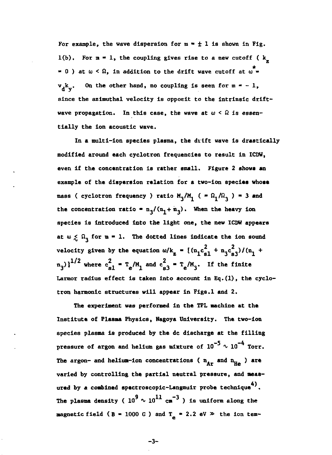For example, the wave dispersion for  $m = \pm 1$  is shown in Fig.  $1(b)$ . For  $m = 1$ , the coupling gives rise to a new cutoff ( $k_$ ) **z** = 0) at  $\omega < \Omega$ , in addition to the drift wave cutoff at  $\omega$  = **- 0 ) at co < SI, in addition to the drift wave cutoff at w «**  $v_{\overline{A}}k_{\overline{v}}$ . On the other hand, no coupling is seen for  $m = -1$ , since the azimuthal velocity is opposit to the intrinsic drift**since the azlmuthal velocity is opposlt to the intrinsic drift**wave propagation. In this case, the wave at  $\omega < \Omega$  is essentially the ion acoustic wave. **tially the ion acoustic wave.**

**In a multi-ion species plasma, the drift wave is drastically modified around each cyclotron frequencies to result in ICDW,** even if the concentration is rather small. Figure 2 shows an **example of the dispersion relation for a two-ion species whose** mass ( cyclotron frequency ) ratio  $M_q/M_q$  (  $= \Omega_q/\Omega_q$  ) = 3 and the concentration ratio =  $n_3/(n_1 + n_3)$ . When the heavy ion **species is Introduced into the light one, the new ICDW appears** at  $w \leq \Omega_2$  for  $m = 1$ . The dotted lines indicate the ion sound velocity given by the equation  $\omega/k_z = \frac{(n_1c_{s1}^2 + n_3c_{s3}^2)}{(n_1 + n_2c_{s2}^2)}$  $\left[\frac{n_3}{3}\right]^{1/2}$  where  $c_{s1}^2 = T_e/M_1$  and  $c_{s3}^2 = T_e/M_3$ . If the finite Larmor radius effect is taken into account in Eq. (1), the cyclotron harmonic structures will appear in Figs.1 and 2.

The experiment was performed in the TPL machine at the Institute of Plasma Physics, Nagoya University. The two-ion species plasma is produced by the dc discharge at the filling pressure of argon and helium gas mixture of  $10^{-5} \sim 10^{-4}$  Torr. The argon- and helium-ion concentrations ( $n_{Ar}$  and  $n_{He}$ ) are varied by controlling the partial neutral pressure, and measured by a combined spectroscopic-Langmuir probe technique<sup>4)</sup>. The plasma density (  $10^9 \sim 10^{11}$   $\rm{cm}^{-3}$  ) is uniform along the **magnetic field (B = 1000 G) and**  $T_a$  **= 2.2 eV**  $\gg$  the ion tem-

**-3-**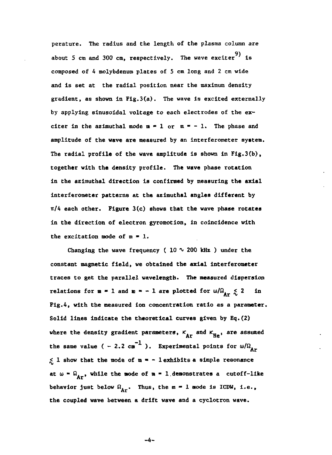**perature. The radius and the length of the plasma column are 9) about 5 cm and 300 cm, respectively. The wave exciter is composed of 4 molybdenum plates of 5 cm long and 2 cm wide and is set at the radial position near the maximum density gradient, as shown in Fig.3(a). The wave is excited externally by applying sinusoidal voltage to each electrodes of the ex**citer in the azimuthal mode  $m = 1$  or  $m = -1$ . The phase and **amplitude of the wave are measured by an interferometer system. The radial profile of the wave amplitude is shown in Fig.3(b), together with the density profile. The wave phase rotation in the azimuthal direction is confirmed by measuring the axial interferometer patterns at the azimuthal angles different by ir/4 each other. Figure 3(c) shows that the wave phase rotates in the direction of electron gyromotion, in coincidence with** the excitation mode of  $m = 1$ .

Changing the wave frequency  $(10 \sim 200$  kHz) under the **constant magnetic field, we obtained the axial interferometer traces to get the parallel wavelength. The measured dispersion relations for**  $m = 1$  **and**  $m = -1$  **are plotted for**  $\omega/\Omega_{Ar} \leq 2$  **in Fig.4, with the measured ion concentration ratio as a parameter. Solid lines indicate the theoretical curves given by Eq.(2)** where the density gradient parameters,  $K_{Ar}$  and  $K_{Hn}$ , are assumed the same value ( - 2.2 cm<sup>-1</sup>). Experimental points for  $\omega/\Omega_{\rm Ar}$ . **<j 1 show that the mode of in • - 1 exhibits a simple resonance** at  $\omega = \Omega_{\text{Ar}}$ , while the mode of  $\mathfrak{n} = 1$  demonstrates a cutoff-like behavior just below  $\Omega_{\Delta r}$ . Thus, the  $m = 1$  mode is ICDW, i.e., **behavior just below fi, . Thus, the m " 1 node is ICDW, i.e.,**

-4-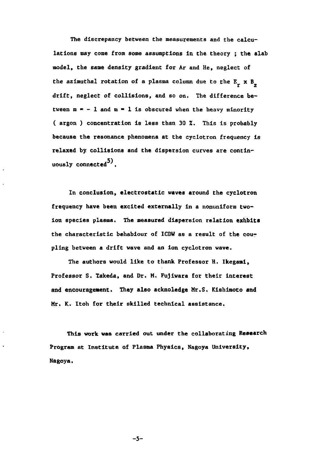**The discrepancy between the measurements and the calculations may come from sows assumptions in the theory ; the slab model, the same density gradient for Ar and He, neglect of the azimuthal rotation of a plasma column due to the E x B drift, neglect of collisions, and so on. The difference be**tween  $m = -1$  and  $m = 1$  is obscured when the heavy minority **( argon ) concentration is less than 30 X. This is probably because the resonance phenomena at the cyclotron frequency is relaxed by collisions and the dispersion curves are continuously connected .**

**In conclusion, electrostatic waves around the cyclotron frequency have been excited externally in a nonuniform two-Ion species plasma. The measured dispersion relation exhbits the characteristic behabiour of ICDW as a result of the coupling between a drift wave and an ion cyclotron wave.**

**The authors would like to thank Professor H. Ikegami, Professor S. Takeda, and Dr. M. Fujiwara for their interest and encouragement. They also acknoledge Mr.S. Kishimoto and Mr. K. Itoh for their skilled technical assistance.**

**This work was carried out under the collaborating Research Program at Institute of Plasma Physics, Nagoya University, Nagoya.**

**-5-**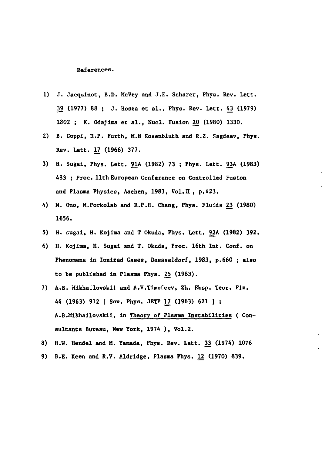**References.**

- **1) J. Jacquinot, B.D. McVey and J.E. Scharer, Phys. Rev. Lett. 39 (1977) 88 ; J. Hosea et al., Phys. Rev. Lett. A3 (1979) 1802 ; K. Odajima et al., Nucl. Fusion 20 (1980) 1330.**
- **2) B. Coppi, H.P. Furth, M.N Rosenbluth and R.Z. Sagdeev, Phys. Rev. Lett. 17 (1966) 377.**
- **3) H. Sugai, Phys. Lett. 91A (1982) 73 ; Phys. Lett. 93A (1983) 483 ; Proc. 11th European Conference on Controlled Fusion and Plasma Physics, Aachen, 1983, Vol.II , p.423.**
- **4) M. Ono, M.Porkolab and R.P.H. Chang, Phys. Fluids 23 (1980) 1656.**
- **5) H. sugai, H. Kojima and T Okuda, Phys. Lett. 92A (1982) 392.**
- **6) H. Kojima, H. Sugai and T. Okuda, Proc. 16th Int. Conf. on Phenomena in Ionized Gases, Duesseldorf, 1983, p.660 ; also to be published in Plasma Phys. 25 (1983).**
- **7) A.B. Mikhailovskii and A.V.Timofeev, Zh. Eksp. Teor. Fiz. 44 (1963) 912 [ Sov. Phys. JETP 17 (1963) 621 ] ; A.B.Mikhailovskii, in Theory of Plasma Instabilities ( Consultants Bureau, New York, 1974 ) , Vol.2.**
- **8) H.W. Hendel and M. Yamada, Phys. Rev. Lett. 33 (1974) 1076**
- **9) B.E. Keen and R.V. Aldridge, Plasma Phys. 12 (1970) 839.**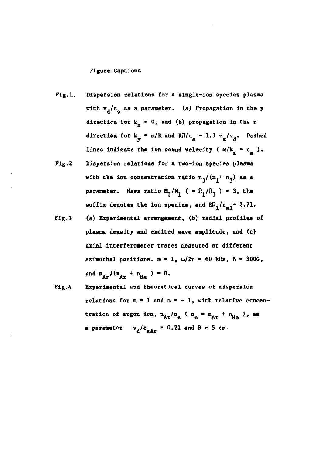## **Figure Captions**

- **Fig.l. Dispersion relations for a single-ion species plasma** with  $v_d/c_g$  as a parameter. (a) Propagation in the y direction for  $k_p = 0$ , and (b) propagation in the z direction for  $k_v = m/R$  and  $R\Omega/c_g = 1.1 c_s/v_d$ . Dashed lines indicate the ion sound velocity ( $\omega/k$  = c<sub>2</sub>).
- **Fig.2 Dispersion relations for a two-ion species plasma** with the ion concentration ratio  $n_3/(n_1+n_3)$  as a parameter. Mass ratio  $M_3/M_1^{\bullet}$  ( =  $\Omega_1/\Omega_3^{\bullet}$  ) = 3, the suffix denotes the ion species, and  $R\Omega_1/c_{\rm pl}$  = 2.71.
- **Fig.3 (a) Experimental arrangement, (b) radial profiles of plasma density and excited wave amplitude, and (c) axial interferometer traces measured at different** azimuthal positions.  $m = 1$ ,  $\omega/2\pi = 60$  kHz, B = 300G, and  $n_{Ar}/(n_{Ar} + n_{He}) = 0.$
- **Fig.A Experimental and theoretical curves of dispersion** relations for  $m = 1$  and  $m = -1$ , with relative concentration of argon ion,  $\frac{n}{\Delta x}/n_e$  ( $\frac{n_e}{n_e} = n_{A} + n_{He}$ ), as **a** parameter  $v_d/c_{SAT} = 0.21$  and  $R = 5$  cm.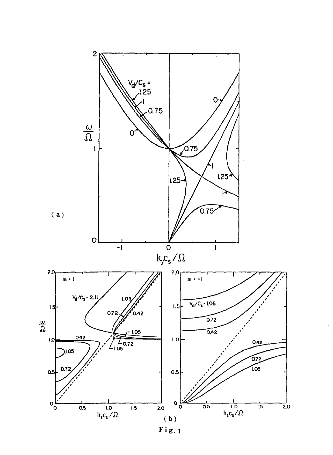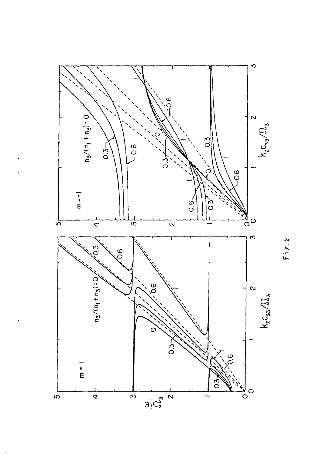

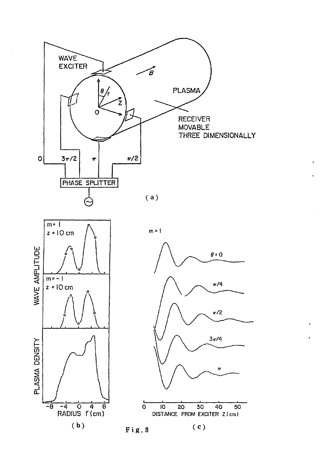